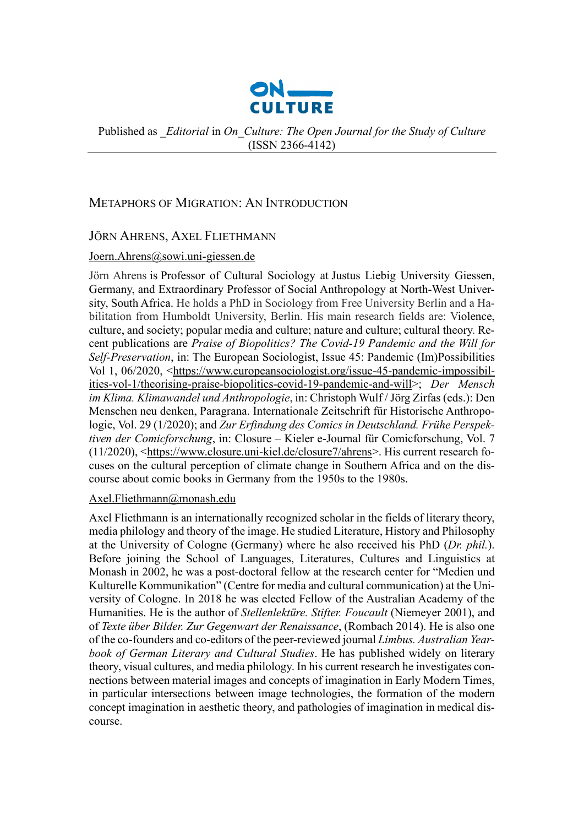

Published as *\_Editorial* in *On\_Culture: The Open Journal for the Study of Culture*  (ISSN 2366-4142)

## METAPHORS OF MIGRATION: AN INTRODUCTION

## JÖRN AHRENS, AXEL FLIETHMANN

#### [Joern.Ahrens@sowi.uni-giessen.de](mailto:Joern.Ahrens@sowi.uni-giessen.de)

Jörn Ahrens is Professor of Cultural Sociology at Justus Liebig University Giessen, Germany, and Extraordinary Professor of Social Anthropology at North-West University, South Africa. He holds a PhD in Sociology from Free University Berlin and a Habilitation from Humboldt University, Berlin. His main research fields are: Violence, culture, and society; popular media and culture; nature and culture; cultural theory. Recent publications are *Praise of Biopolitics? The Covid-19 Pandemic and the Will for Self-Preservation*, in: The European Sociologist, Issue 45: Pandemic (Im)Possibilities Vol 1, 06/2020, [<https://www.europeansociologist.org/issue-45-pandemic-impossibil](https://www.europeansociologist.org/issue-45-pandemic-impossibilities-vol-1/theorising-praise-biopolitics-covid-19-pandemic-and-will)[ities-vol-1/theorising-praise-biopolitics-covid-19-pandemic-and-will>](https://www.europeansociologist.org/issue-45-pandemic-impossibilities-vol-1/theorising-praise-biopolitics-covid-19-pandemic-and-will); *Der Mensch im Klima. Klimawandel und Anthropologie*, in: Christoph Wulf / Jörg Zirfas (eds.): Den Menschen neu denken, Paragrana. Internationale Zeitschrift für Historische Anthropologie, Vol. 29 (1/2020); and *Zur Erfindung des Comics in Deutschland. Frühe Perspektiven der Comicforschung*, in: Closure – Kieler e-Journal für Comicforschung, Vol. 7 (11/2020), [<https://www.closure.uni-kiel.de/closure7/ahrens>](https://www.closure.uni-kiel.de/closure7/ahrens). His current research focuses on the cultural perception of climate change in Southern Africa and on the discourse about comic books in Germany from the 1950s to the 1980s.

#### [Axel.Fliethmann@monash.edu](mailto:axel.fliethmann@monash.edu)

Axel Fliethmann is an internationally recognized scholar in the fields of literary theory, media philology and theory of the image. He studied Literature, History and Philosophy at the University of Cologne (Germany) where he also received his PhD (*Dr. phil.*). Before joining the School of Languages, Literatures, Cultures and Linguistics at Monash in 2002, he was a post-doctoral fellow at the research center for "Medien und Kulturelle Kommunikation" (Centre for media and cultural communication) at the University of Cologne. In 2018 he was elected Fellow of the Australian Academy of the Humanities. He is the author of *Stellenlektüre. Stifter. Foucault* (Niemeyer 2001), and of *Texte über Bilder. Zur Gegenwart der Renaissance*, (Rombach 2014). He is also one of the co-founders and co-editors of the peer-reviewed journal *Limbus. Australian Yearbook of German Literary and Cultural Studies*. He has published widely on literary theory, visual cultures, and media philology. In his current research he investigates connections between material images and concepts of imagination in Early Modern Times, in particular intersections between image technologies, the formation of the modern concept imagination in aesthetic theory, and pathologies of imagination in medical discourse.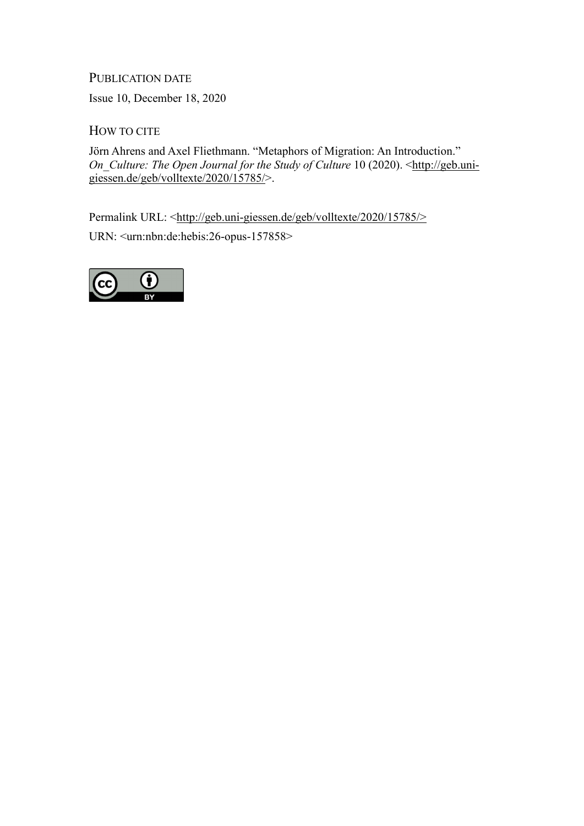# PUBLICATION DATE

Issue 10, December 18, 2020

HOW TO CITE

Jörn Ahrens and Axel Fliethmann. "Metaphors of Migration: An Introduction." *On\_Culture: The Open Journal for the Study of Culture* 10 (2020). [<http://geb.uni](http://geb.uni-giessen.de/geb/volltexte/2020/15785/)[giessen.de/geb/volltexte/2020/15785/>](http://geb.uni-giessen.de/geb/volltexte/2020/15785/).

Permalink URL: [<http://geb.uni-giessen.de/geb/volltexte/2020/15785/>](http://geb.uni-giessen.de/geb/volltexte/2020/15785/%3e) URN: <urn:nbn:de:hebis:26-opus-157858>

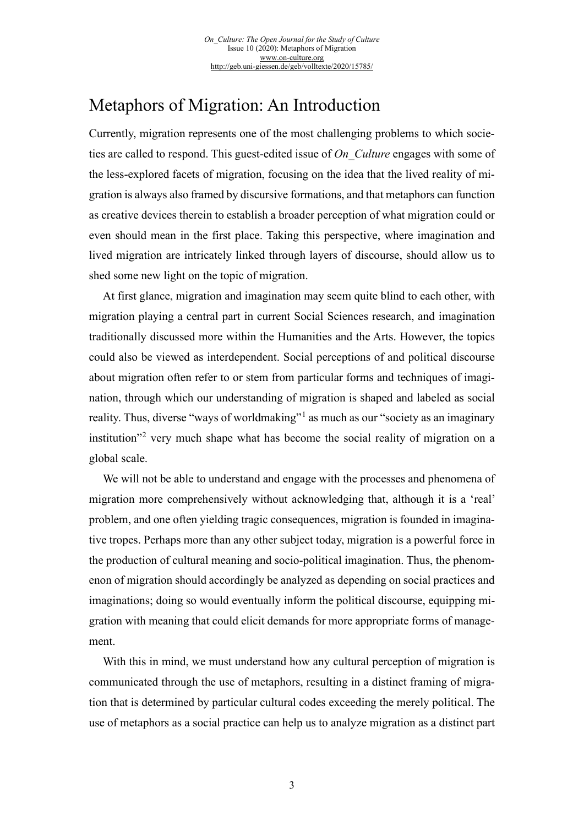# Metaphors of Migration: An Introduction

Currently, migration represents one of the most challenging problems to which societies are called to respond. This guest-edited issue of *On\_Culture* engages with some of the less-explored facets of migration, focusing on the idea that the lived reality of migration is always also framed by discursive formations, and that metaphors can function as creative devices therein to establish a broader perception of what migration could or even should mean in the first place. Taking this perspective, where imagination and lived migration are intricately linked through layers of discourse, should allow us to shed some new light on the topic of migration.

At first glance, migration and imagination may seem quite blind to each other, with migration playing a central part in current Social Sciences research, and imagination traditionally discussed more within the Humanities and the Arts. However, the topics could also be viewed as interdependent. Social perceptions of and political discourse about migration often refer to or stem from particular forms and techniques of imagination, through which our understanding of migration is shaped and labeled as social reality. Thus, diverse "ways of worldmaking"<sup>[1](#page-4-0)</sup> as much as our "society as an imaginary institution"[2](#page-4-1) very much shape what has become the social reality of migration on a global scale.

We will not be able to understand and engage with the processes and phenomena of migration more comprehensively without acknowledging that, although it is a 'real' problem, and one often yielding tragic consequences, migration is founded in imaginative tropes. Perhaps more than any other subject today, migration is a powerful force in the production of cultural meaning and socio-political imagination. Thus, the phenomenon of migration should accordingly be analyzed as depending on social practices and imaginations; doing so would eventually inform the political discourse, equipping migration with meaning that could elicit demands for more appropriate forms of management.

With this in mind, we must understand how any cultural perception of migration is communicated through the use of metaphors, resulting in a distinct framing of migration that is determined by particular cultural codes exceeding the merely political. The use of metaphors as a social practice can help us to analyze migration as a distinct part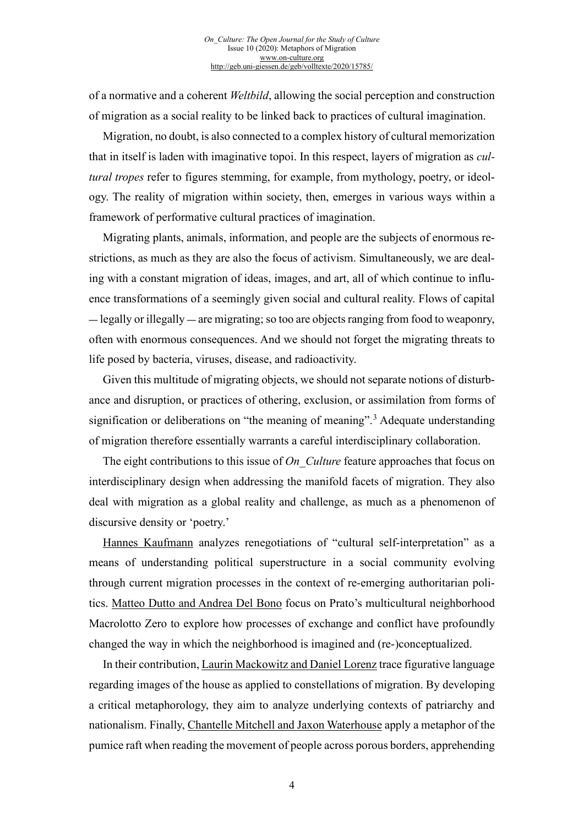of a normative and a coherent *Weltbild*, allowing the social perception and construction of migration as a social reality to be linked back to practices of cultural imagination.

Migration, no doubt, is also connected to a complex history of cultural memorization that in itself is laden with imaginative topoi. In this respect, layers of migration as *cultural tropes* refer to figures stemming, for example, from mythology, poetry, or ideology. The reality of migration within society, then, emerges in various ways within a framework of performative cultural practices of imagination.

Migrating plants, animals, information, and people are the subjects of enormous restrictions, as much as they are also the focus of activism. Simultaneously, we are dealing with a constant migration of ideas, images, and art, all of which continue to influence transformations of a seemingly given social and cultural reality. Flows of capital — legally or illegally — are migrating; so too are objects ranging from food to weaponry, often with enormous consequences. And we should not forget the migrating threats to life posed by bacteria, viruses, disease, and radioactivity.

Given this multitude of migrating objects, we should not separate notions of disturbance and disruption, or practices of othering, exclusion, or assimilation from forms of signification or deliberations on "the meaning of meaning".<sup>[3](#page-4-2)</sup> Adequate understanding of migration therefore essentially warrants a careful interdisciplinary collaboration.

The eight contributions to this issue of *On Culture* feature approaches that focus on interdisciplinary design when addressing the manifold facets of migration. They also deal with migration as a global reality and challenge, as much as a phenomenon of discursive density or 'poetry.'

[Hannes Kaufmann](http://geb.uni-giessen.de/geb/volltexte/2020/15790/) analyzes renegotiations of "cultural self-interpretation" as a means of understanding political superstructure in a social community evolving through current migration processes in the context of re-emerging authoritarian politics. [Matteo Dutto and Andrea Del Bono](http://geb.uni-giessen.de/geb/volltexte/2020/15786/) focus on Prato's multicultural neighborhood Macrolotto Zero to explore how processes of exchange and conflict have profoundly changed the way in which the neighborhood is imagined and (re-)conceptualized.

In their contribution[, Laurin Mackowitz and Daniel Lorenz](http://geb.uni-giessen.de/geb/volltexte/2020/15787/) trace figurative language regarding images of the house as applied to constellations of migration. By developing a critical metaphorology, they aim to analyze underlying contexts of patriarchy and nationalism. Finally, [Chantelle Mitchell and Jaxon Waterhouse](http://geb.uni-giessen.de/geb/volltexte/2020/15788/) apply a metaphor of the pumice raft when reading the movement of people across porous borders, apprehending